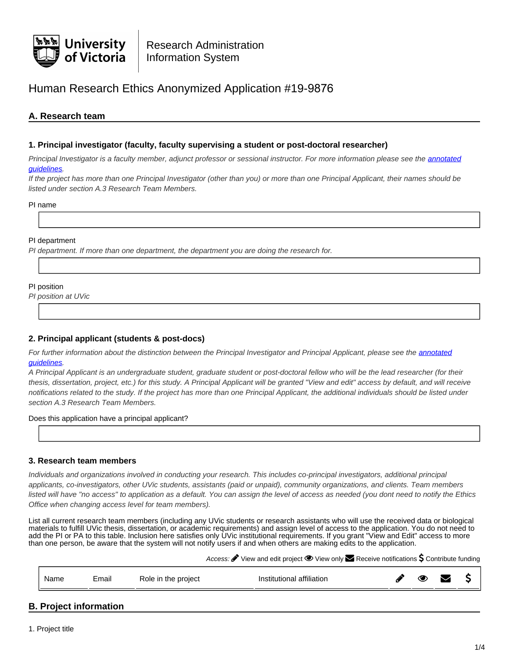

# Human Research Ethics Anonymized Application #19-9876

# **A. Research team**

### **1. Principal investigator (faculty, faculty supervising a student or post-doctoral researcher)**

Principal Investigator is a faculty member, adjunct professor or sessional instructor. For more information please see the [annotated](https://www.uvic.ca/research/assets/docs/Ethics/Annotated Guidelines HRE Application Form.pdf) [guidelines.](https://www.uvic.ca/research/assets/docs/Ethics/Annotated Guidelines HRE Application Form.pdf)

If the project has more than one Principal Investigator (other than you) or more than one Principal Applicant, their names should be listed under section A.3 Research Team Members.

PI name

#### PI department

PI department. If more than one department, the department you are doing the research for.

#### PI position

PI position at UVic

### **2. Principal applicant (students & post-docs)**

For further information about the distinction between the Principal Investigator and Principal Applicant, please see the [annotated](https://www.uvic.ca/research/assets/docs/Ethics/Annotated Guidelines HRE Application Form.pdf) [guidelines.](https://www.uvic.ca/research/assets/docs/Ethics/Annotated Guidelines HRE Application Form.pdf)

A Principal Applicant is an undergraduate student, graduate student or post-doctoral fellow who will be the lead researcher (for their thesis, dissertation, project, etc.) for this study. A Principal Applicant will be granted "View and edit" access by default, and will receive notifications related to the study. If the project has more than one Principal Applicant, the additional individuals should be listed under section A.3 Research Team Members.

Does this application have a principal applicant?

### **3. Research team members**

Individuals and organizations involved in conducting your research. This includes co-principal investigators, additional principal applicants, co-investigators, other UVic students, assistants (paid or unpaid), community organizations, and clients. Team members listed will have "no access" to application as a default. You can assign the level of access as needed (you dont need to notify the Ethics Office when changing access level for team members).

List all current research team members (including any UVic students or research assistants who will use the received data or biological materials to fulfill UVic thesis, dissertation, or academic requirements) and assign level of access to the application. You do not need to add the PI or PA to this table. Inclusion here satisfies only UVic institutional requirements. If you grant "View and Edit" access to more than one person, be aware that the system will not notify users if and when others are making edits to the application.

Access:  $\bullet$  View and edit project  $\bullet$  View only  $\bullet$  Receive notifications  $\sf S$  Contribute funding

|  |  | Name | . .<br>cmail | Role in the project | <br>Institutional affiliation |  |  |  |  |
|--|--|------|--------------|---------------------|-------------------------------|--|--|--|--|
|--|--|------|--------------|---------------------|-------------------------------|--|--|--|--|

# **B. Project information**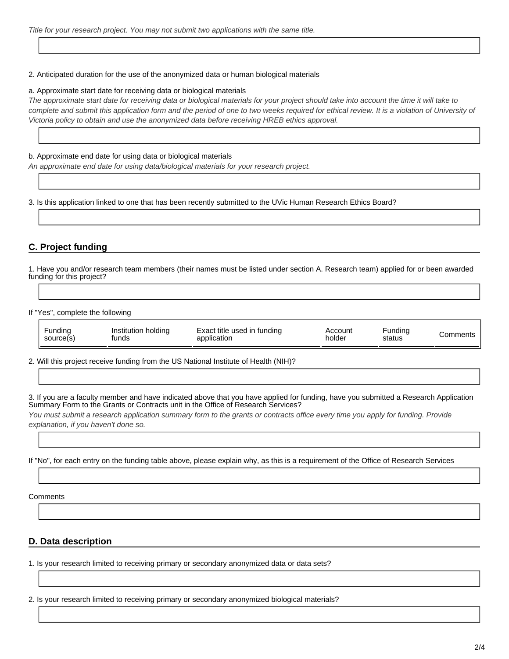#### 2. Anticipated duration for the use of the anonymized data or human biological materials

#### a. Approximate start date for receiving data or biological materials

The approximate start date for receiving data or biological materials for your project should take into account the time it will take to complete and submit this application form and the period of one to two weeks required for ethical review. It is a violation of University of Victoria policy to obtain and use the anonymized data before receiving HREB ethics approval.

#### b. Approximate end date for using data or biological materials

An approximate end date for using data/biological materials for your research project.

3. Is this application linked to one that has been recently submitted to the UVic Human Research Ethics Board?

# **C. Project funding**

1. Have you and/or research team members (their names must be listed under section A. Research team) applied for or been awarded funding for this project?

If "Yes", complete the following

| Funding   | Institution holding | Exact title used in funding | Account | Fundina | ∴omments |
|-----------|---------------------|-----------------------------|---------|---------|----------|
| source(s) | tunds               | application                 | holder  | status  |          |

2. Will this project receive funding from the US National Institute of Health (NIH)?

3. If you are a faculty member and have indicated above that you have applied for funding, have you submitted a Research Application Summary Form to the Grants or Contracts unit in the Office of Research Services?

You must submit a research application summary form to the grants or contracts office every time you apply for funding. Provide explanation, if you haven't done so.

If "No", for each entry on the funding table above, please explain why, as this is a requirement of the Office of Research Services

**Comments** 

### **D. Data description**

1. Is your research limited to receiving primary or secondary anonymized data or data sets?

2. Is your research limited to receiving primary or secondary anonymized biological materials?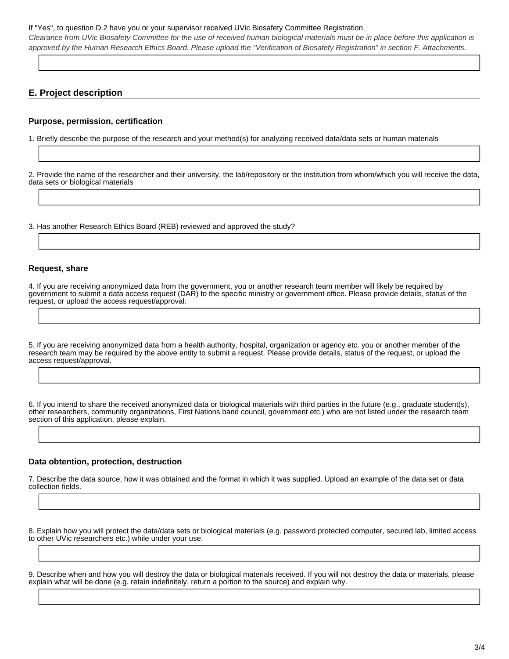#### If "Yes", to question D.2 have you or your supervisor received UVic Biosafety Committee Registration

Clearance from UVic Biosafety Committee for the use of received human biological materials must be in place before this application is approved by the Human Research Ethics Board. Please upload the "Verification of Biosafety Registration" in section F. Attachments.

# **E. Project description**

### **Purpose, permission, certification**

1. Briefly describe the purpose of the research and your method(s) for analyzing received data/data sets or human materials

2. Provide the name of the researcher and their university, the lab/repository or the institution from whom/which you will receive the data, data sets or biological materials

3. Has another Research Ethics Board (REB) reviewed and approved the study?

#### **Request, share**

4. If you are receiving anonymized data from the government, you or another research team member will likely be required by government to submit a data access request (DAR) to the specific ministry or government office. Please provide details, status of the request, or upload the access request/approval.

5. If you are receiving anonymized data from a health authority, hospital, organization or agency etc. you or another member of the research team may be required by the above entity to submit a request. Please provide details, status of the request, or upload the access request/approval.

6. If you intend to share the received anonymized data or biological materials with third parties in the future (e.g., graduate student(s), other researchers, community organizations, First Nations band council, government etc.) who are not listed under the research team section of this application, please explain.

#### **Data obtention, protection, destruction**

7. Describe the data source, how it was obtained and the format in which it was supplied. Upload an example of the data set or data collection fields.

8. Explain how you will protect the data/data sets or biological materials (e.g. password protected computer, secured lab, limited access to other UVic researchers etc.) while under your use.

9. Describe when and how you will destroy the data or biological materials received. If you will not destroy the data or materials, please explain what will be done (e.g. retain indefinitely, return a portion to the source) and explain why.